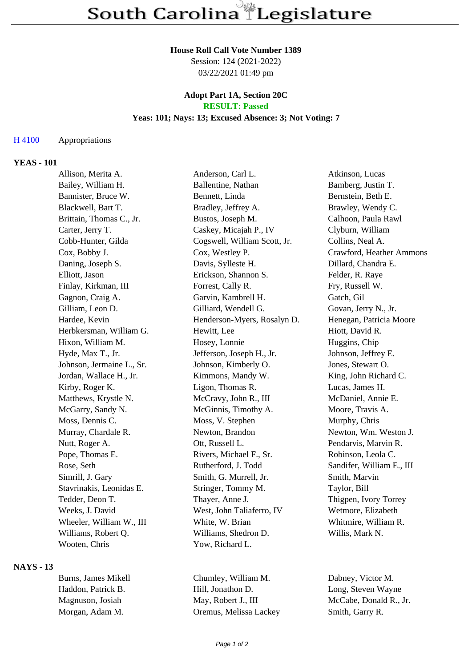#### **House Roll Call Vote Number 1389**

Session: 124 (2021-2022) 03/22/2021 01:49 pm

# **Adopt Part 1A, Section 20C**

# **RESULT: Passed**

# **Yeas: 101; Nays: 13; Excused Absence: 3; Not Voting: 7**

#### H 4100 Appropriations

### **YEAS - 101**

| Allison, Merita A.        | Anderson, Carl L.            | Atkinson, Lucas           |
|---------------------------|------------------------------|---------------------------|
| Bailey, William H.        | Ballentine, Nathan           | Bamberg, Justin T.        |
| Bannister, Bruce W.       | Bennett, Linda               | Bernstein, Beth E.        |
| Blackwell, Bart T.        | Bradley, Jeffrey A.          | Brawley, Wendy C.         |
| Brittain, Thomas C., Jr.  | Bustos, Joseph M.            | Calhoon, Paula Rawl       |
| Carter, Jerry T.          | Caskey, Micajah P., IV       | Clyburn, William          |
| Cobb-Hunter, Gilda        | Cogswell, William Scott, Jr. | Collins, Neal A.          |
| Cox, Bobby J.             | Cox, Westley P.              | Crawford, Heather Ammons  |
| Daning, Joseph S.         | Davis, Sylleste H.           | Dillard, Chandra E.       |
| Elliott, Jason            | Erickson, Shannon S.         | Felder, R. Raye           |
| Finlay, Kirkman, III      | Forrest, Cally R.            | Fry, Russell W.           |
| Gagnon, Craig A.          | Garvin, Kambrell H.          | Gatch, Gil                |
| Gilliam, Leon D.          | Gilliard, Wendell G.         | Govan, Jerry N., Jr.      |
| Hardee, Kevin             | Henderson-Myers, Rosalyn D.  | Henegan, Patricia Moore   |
| Herbkersman, William G.   | Hewitt, Lee                  | Hiott, David R.           |
| Hixon, William M.         | Hosey, Lonnie                | Huggins, Chip             |
| Hyde, Max T., Jr.         | Jefferson, Joseph H., Jr.    | Johnson, Jeffrey E.       |
| Johnson, Jermaine L., Sr. | Johnson, Kimberly O.         | Jones, Stewart O.         |
| Jordan, Wallace H., Jr.   | Kimmons, Mandy W.            | King, John Richard C.     |
| Kirby, Roger K.           | Ligon, Thomas R.             | Lucas, James H.           |
| Matthews, Krystle N.      | McCravy, John R., III        | McDaniel, Annie E.        |
| McGarry, Sandy N.         | McGinnis, Timothy A.         | Moore, Travis A.          |
| Moss, Dennis C.           | Moss, V. Stephen             | Murphy, Chris             |
| Murray, Chardale R.       | Newton, Brandon              | Newton, Wm. Weston J.     |
| Nutt, Roger A.            | Ott, Russell L.              | Pendarvis, Marvin R.      |
| Pope, Thomas E.           | Rivers, Michael F., Sr.      | Robinson, Leola C.        |
| Rose, Seth                | Rutherford, J. Todd          | Sandifer, William E., III |
| Simrill, J. Gary          | Smith, G. Murrell, Jr.       | Smith, Marvin             |
| Stavrinakis, Leonidas E.  | Stringer, Tommy M.           | Taylor, Bill              |
| Tedder, Deon T.           | Thayer, Anne J.              | Thigpen, Ivory Torrey     |
| Weeks, J. David           | West, John Taliaferro, IV    | Wetmore, Elizabeth        |
| Wheeler, William W., III  | White, W. Brian              | Whitmire, William R.      |
| Williams, Robert Q.       | Williams, Shedron D.         | Willis, Mark N.           |
| Wooten, Chris             | Yow, Richard L.              |                           |
|                           |                              |                           |

#### **NAYS - 13**

| Burns, James Mikell |  |
|---------------------|--|
| Haddon. Patrick B.  |  |
| Magnuson, Josiah    |  |
| Morgan, Adam M.     |  |

Chumley, William M. Dabney, Victor M. Hill, Jonathon D. Long, Steven Wayne May, Robert J., III McCabe, Donald R., Jr. Oremus, Melissa Lackey Smith, Garry R.